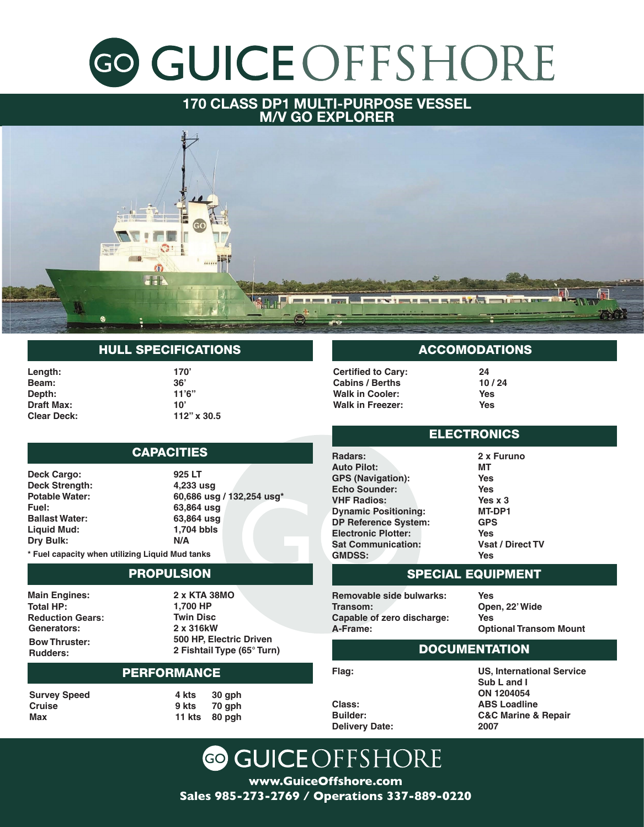# 170 CLASS DP-1 SUPPLY VESSEL

### **170 CLASS DP1 MULTI-PURPOSE VESSEL M/V GO EXPLORER**



## HULL SPECIFICATIONS HULL SPECIFICATIONS

**Length: 170' Length: Beam: 36' Beam: Depth:** 11'6" **Draft Max: 10' Draft Max: Clear Deck: 112' x 30.5' Clear Deck:**

**170' 36' 11'6" 10' 112" x 30.5**

#### **550 LT** CAPACITIES **4,233 usg**

**Potable Water: Fuel: Deck Cargo: Ballast Water: Deck Strength: Liquid Mud: Potable Water: Methanol: Fuel: Ballast Water:** 63,864 u **Liquid Mud: Dry Bulk:**

**60,686 usg / 132,254 usg\* 925 LT 63,864 usg 4,233 usg 1,704 bbls 60,686 usg / 132,254 usg\* N/A 63,864 usg 63,864 usg 1,704 bbls N/A**

PROPULSION **\* Fuel capacity when utilizing Liquid Mud tanks Main Engines:** 

#### **2 x KTA 38MO 1,700 HP** PROPULSION **Twin Disc**

**Reduction Gears: Main Engines:**  $\overline{\text{Total HP}}$ : **Rudders: Reduction Gears: Generators: Bow Thruster:**

**2 x 286kW 2 x KTA 38MO 500 HP, Electric Driven 1,700 HP 2 Fishtail Type (65° Turn) Twin Disc** ACCOMMODATIONS **500 HP, Electric Driven** Rudders: 2 **F 2 x 316kW 2 Fishtail Type (65° Turn)**

#### **Cabins / Berths: 10 / 24 Walk in Cooler: Yesue PERFORMANCE Walk in Freezer: Yes**

**Survey Speed Cruise Max**

**4 kts 30 gph 9 kts 70 gph 11 kts 80 pgh**

## ACCOMODATIONS

**Certified to Cary: Auto Pilot: Cabins / Berths GPS (Navigation): Walk in Cooler: Example In Cooler:**<br>*Wells* in Exages: **Walk in Freezer:** 

**24** *x* **MT 10 / 24 Yes Yes Yes Yes x 3 Yes**

#### **DP Reference System: GNI Yes** ELECTRONICS

**Sat Communication: Radars:**  $\overline{\phantom{a}}$ nauars:<br>Auto Pilot: **Removal Source: NHF Radios: Transom: Dynamic Positioning: Capable of Capability.**<br>Capable of a control of the control of the control of the control of the control of the control of the control o **DP Reference System: Flag: GPS (Navigation): Echo Sounder: Electronic Plotter: Sat Communication: GMDSS:**

**Vsat / Direct TV 2 x Furuno Yes MT** n): Yes **Yes Yes x 3 Open, 22' Wide MT-DP1 Yes GPS Optional Transom Mount Prime Solution Set 75 Vsat / Direct TV Yes Yes Yes Yes**

#### **US, International Service** SPECIAL EQUIPMENT **ON 1204054**

**Class: Removable side bulwarks: Transom: Delivery Date: Capable of zero discharge: A-Frame:**

**ABS Loadline Yes C&C Marine & Repair Open, 22' Wide 2007 Yes PERSONAL PROPERTY Optional Transom Mount**

## DOCUMENTATION

**Cruise Maximum Flag:**

**Survey Speed**

**9kts 70gph US, International Service 1980**, internation<br>Sub L and I **ON 1204054 ABS Loadline C&C Marine & Repair 2007**

 $C$ UCE $\cap$ ECLI $\cap$ **Delivery Date:**

**Class: Builder:**

**www.GuiceOffshore.com Sales 985-273-2769 / Operations 337-889-0220 Sales 985-273-2769 / Operations 337-889-0220**